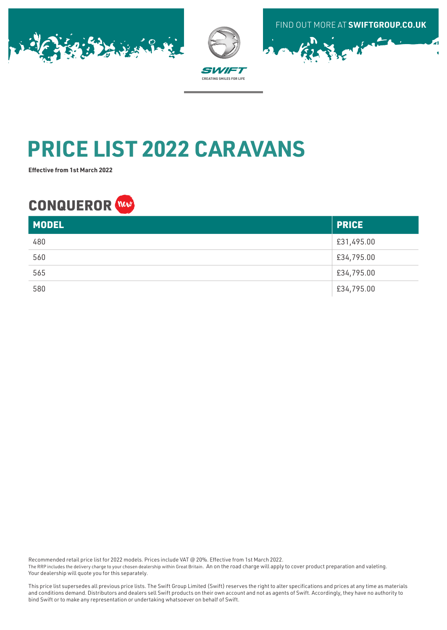





# **PRICE LIST 2022 CARAVANS**

**Effective from 1st March 2022**

## **CONQUEROR**

| <b>MODEL</b> | <b>PRICE</b> |
|--------------|--------------|
| 480          | £31,495.00   |
| 560          | £34,795.00   |
| 565          | £34,795.00   |
| 580          | £34,795.00   |

Recommended retail price list for 2022 models. Prices include VAT @ 20%. Effective from 1st March 2022.

The RRP includes the delivery charge to your chosen dealership within Great Britain. An on the road charge will apply to cover product preparation and valeting. Your dealership will quote you for this separately.

This price list supersedes all previous price lists. The Swift Group Limited (Swift) reserves the right to alter specifications and prices at any time as materials and conditions demand. Distributors and dealers sell Swift products on their own account and not as agents of Swift. Accordingly, they have no authority to bind Swift or to make any representation or undertaking whatsoever on behalf of Swift.